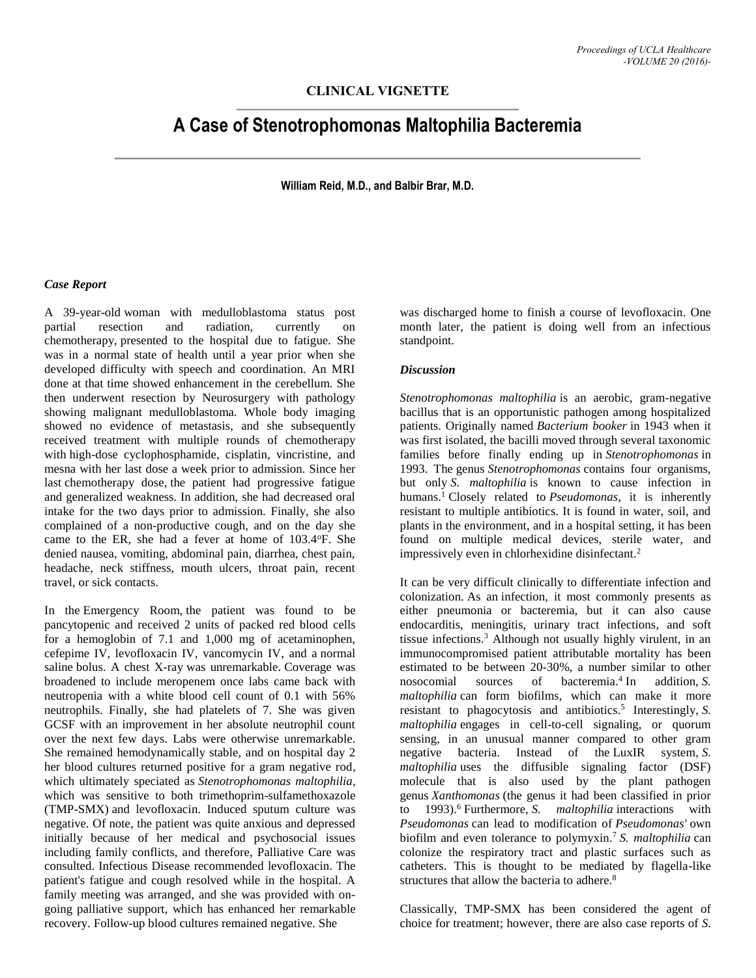## **CLINICAL VIGNETTE**

# **A Case of Stenotrophomonas Maltophilia Bacteremia**

**William Reid, M.D., and Balbir Brar, M.D.**

### *Case Report*

A 39-year-old woman with medulloblastoma status post partial resection and radiation, currently on chemotherapy, presented to the hospital due to fatigue. She was in a normal state of health until a year prior when she developed difficulty with speech and coordination. An MRI done at that time showed enhancement in the cerebellum. She then underwent resection by Neurosurgery with pathology showing malignant medulloblastoma. Whole body imaging showed no evidence of metastasis, and she subsequently received treatment with multiple rounds of chemotherapy with high-dose cyclophosphamide, cisplatin, vincristine, and mesna with her last dose a week prior to admission. Since her last chemotherapy dose, the patient had progressive fatigue and generalized weakness. In addition, she had decreased oral intake for the two days prior to admission. Finally, she also complained of a non-productive cough, and on the day she came to the ER, she had a fever at home of 103.4°F. She denied nausea, vomiting, abdominal pain, diarrhea, chest pain, headache, neck stiffness, mouth ulcers, throat pain, recent travel, or sick contacts.

In the Emergency Room, the patient was found to be pancytopenic and received 2 units of packed red blood cells for a hemoglobin of 7.1 and 1,000 mg of acetaminophen, cefepime IV, levofloxacin IV, vancomycin IV, and a normal saline bolus. A chest X-ray was unremarkable. Coverage was broadened to include meropenem once labs came back with neutropenia with a white blood cell count of 0.1 with 56% neutrophils. Finally, she had platelets of 7. She was given GCSF with an improvement in her absolute neutrophil count over the next few days. Labs were otherwise unremarkable. She remained hemodynamically stable, and on hospital day 2 her blood cultures returned positive for a gram negative rod, which ultimately speciated as *Stenotrophomonas maltophilia,*  which was sensitive to both trimethoprim-sulfamethoxazole (TMP-SMX) and levofloxacin. Induced sputum culture was negative. Of note, the patient was quite anxious and depressed initially because of her medical and psychosocial issues including family conflicts, and therefore, Palliative Care was consulted. Infectious Disease recommended levofloxacin. The patient's fatigue and cough resolved while in the hospital. A family meeting was arranged, and she was provided with ongoing palliative support, which has enhanced her remarkable recovery. Follow-up blood cultures remained negative. She

was discharged home to finish a course of levofloxacin. One month later, the patient is doing well from an infectious standpoint.

### *Discussion*

*Stenotrophomonas maltophilia* is an aerobic, gram-negative bacillus that is an opportunistic pathogen among hospitalized patients. Originally named *Bacterium booker* in 1943 when it was first isolated, the bacilli moved through several taxonomic families before finally ending up in *Stenotrophomonas* in 1993. The genus *Stenotrophomonas* contains four organisms, but only *S. maltophilia* is known to cause infection in humans.<sup>1</sup> Closely related to *Pseudomonas*, it is inherently resistant to multiple antibiotics. It is found in water, soil, and plants in the environment, and in a hospital setting, it has been found on multiple medical devices, sterile water, and impressively even in chlorhexidine disinfectant. 2

It can be very difficult clinically to differentiate infection and colonization. As an infection, it most commonly presents as either pneumonia or bacteremia, but it can also cause endocarditis, meningitis, urinary tract infections, and soft tissue infections.<sup>3</sup> Although not usually highly virulent, in an immunocompromised patient attributable mortality has been estimated to be between 20-30%, a number similar to other nosocomial sources of bacteremia. 4 addition, *S. maltophilia* can form biofilms, which can make it more resistant to phagocytosis and antibiotics. 5 Interestingly, *S. maltophilia* engages in cell-to-cell signaling, or quorum sensing, in an unusual manner compared to other gram negative bacteria. Instead of the LuxIR system, *S. maltophilia* uses the diffusible signaling factor (DSF) molecule that is also used by the plant pathogen genus *Xanthomonas* (the genus it had been classified in prior to 1993). <sup>6</sup> Furthermore, *S. maltophilia* interactions with *Pseudomonas* can lead to modification of *Pseudomonas'* own biofilm and even tolerance to polymyxin. <sup>7</sup> *S. maltophilia* can colonize the respiratory tract and plastic surfaces such as catheters. This is thought to be mediated by flagella-like structures that allow the bacteria to adhere.<sup>8</sup>

Classically, TMP-SMX has been considered the agent of choice for treatment; however, there are also case reports of *S.*